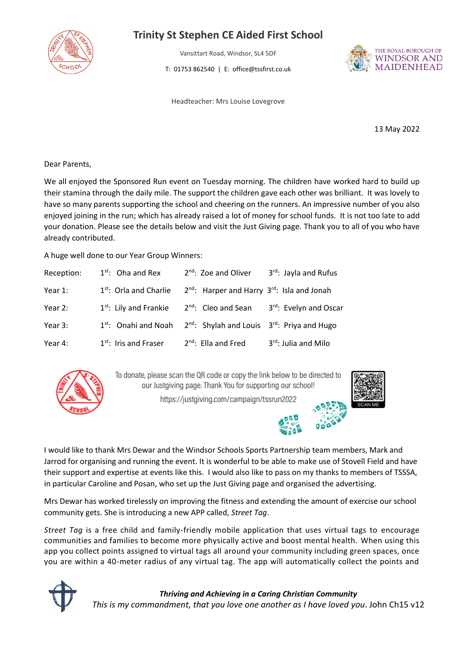

## **Trinity St Stephen CE Aided First School**

Vansittart Road, Windsor, SL4 5DF

T: 01753 862540 | E: office@tssfirst.co.uk



Headteacher: Mrs Louise Lovegrove

13 May 2022

Dear Parents,

We all enjoyed the Sponsored Run event on Tuesday morning. The children have worked hard to build up their stamina through the daily mile. The support the children gave each other was brilliant. It was lovely to have so many parents supporting the school and cheering on the runners. An impressive number of you also enjoyed joining in the run; which has already raised a lot of money for school funds. It is not too late to add your donation. Please see the details below and visit the Just Giving page. Thank you to all of you who have already contributed.

A huge well done to our Year Group Winners:

| Reception: | $1st$ : Oha and Rex                | $2nd$ : Zoe and Oliver                                              | $3^{rd}$ : Jayla and Rufus |
|------------|------------------------------------|---------------------------------------------------------------------|----------------------------|
| Year 1:    | 1 <sup>st</sup> : Orla and Charlie | 2 <sup>nd</sup> : Harper and Harry 3 <sup>rd</sup> : Isla and Jonah |                            |
| Year 2:    | $1st$ : Lily and Frankie           | $2nd$ : Cleo and Sean                                               | 3rd: Evelyn and Oscar      |
| Year 3:    | 1 <sup>st</sup> : Onahi and Noah   | $2^{nd}$ : Shylah and Louis $3^{rd}$ : Priya and Hugo               |                            |
| Year 4:    | $1st$ : Iris and Fraser            | $2^{nd}$ : Ella and Fred                                            | 3rd: Julia and Milo        |



To donate, please scan the QR code or copy the link below to be directed to our Justgiving page. Thank You for supporting our school!

https://justgiving.com/campaign/tssrun2022



I would like to thank Mrs Dewar and the Windsor Schools Sports Partnership team members, Mark and Jarrod for organising and running the event. It is wonderful to be able to make use of Stovell Field and have their support and expertise at events like this. I would also like to pass on my thanks to members of TSSSA, in particular Caroline and Posan, who set up the Just Giving page and organised the advertising.

Mrs Dewar has worked tirelessly on improving the fitness and extending the amount of exercise our school community gets. She is introducing a new APP called, *Street Tag*.

*Street Tag* is a free child and family-friendly mobile application that uses virtual tags to encourage communities and families to become more physically active and boost mental health. When using this app you collect points assigned to virtual tags all around your community including green spaces, once you are within a 40-meter radius of any virtual tag. The app will automatically collect the points and



*Thriving and Achieving in a Caring Christian Community This is my commandment, that you love one another as I have loved you*. John Ch15 v12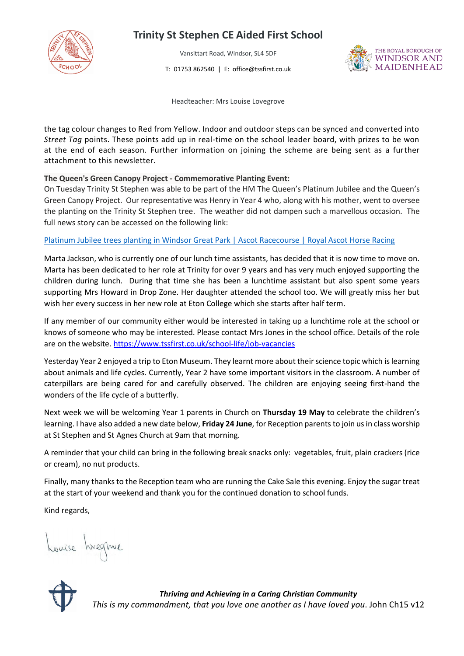

### **Trinity St Stephen CE Aided First School**

Vansittart Road, Windsor, SL4 5DF

T: 01753 862540 | E: office@tssfirst.co.uk



Headteacher: Mrs Louise Lovegrove

the tag colour changes to Red from Yellow. Indoor and outdoor steps can be synced and converted into *Street Tag* points. These points add up in real-time on the school leader board, with prizes to be won at the end of each season. Further information on joining the scheme are being sent as a further attachment to this newsletter.

#### **The Queen's Green Canopy Project - Commemorative Planting Event:**

On Tuesday Trinity St Stephen was able to be part of the HM The Queen's Platinum Jubilee and the Queen's Green Canopy Project. Our representative was Henry in Year 4 who, along with his mother, went to oversee the planting on the Trinity St Stephen tree. The weather did not dampen such a marvellous occasion. The full news story can be accessed on the following link:

#### Platinum Jubilee trees planting in Windsor Great Park | Ascot [Racecourse](https://www.ascot.com/news/platinum-jubilee-trees-planting-in-windsor-great-park) | Royal Ascot Horse Racing

Marta Jackson, who is currently one of our lunch time assistants, has decided that it is now time to move on. Marta has been dedicated to her role at Trinity for over 9 years and has very much enjoyed supporting the children during lunch. During that time she has been a lunchtime assistant but also spent some years supporting Mrs Howard in Drop Zone. Her daughter attended the school too. We will greatly miss her but wish her every success in her new role at Eton College which she starts after half term.

If any member of our community either would be interested in taking up a lunchtime role at the school or knows of someone who may be interested. Please contact Mrs Jones in the school office. Details of the role are on the website[. https://www.tssfirst.co.uk/school-life/job-vacancies](https://www.tssfirst.co.uk/school-life/job-vacancies)

Yesterday Year 2 enjoyed a trip to Eton Museum. They learnt more about their science topic which is learning about animals and life cycles. Currently, Year 2 have some important visitors in the classroom. A number of caterpillars are being cared for and carefully observed. The children are enjoying seeing first-hand the wonders of the life cycle of a butterfly.

Next week we will be welcoming Year 1 parents in Church on **Thursday 19 May** to celebrate the children's learning. I have also added a new date below, **Friday 24 June**, for Reception parents to join us in class worship at St Stephen and St Agnes Church at 9am that morning.

A reminder that your child can bring in the following break snacks only: vegetables, fruit, plain crackers (rice or cream), no nut products.

Finally, many thanks to the Reception team who are running the Cake Sale this evening. Enjoy the sugar treat at the start of your weekend and thank you for the continued donation to school funds.

Kind regards,

houise hreque



*Thriving and Achieving in a Caring Christian Community This is my commandment, that you love one another as I have loved you*. John Ch15 v12